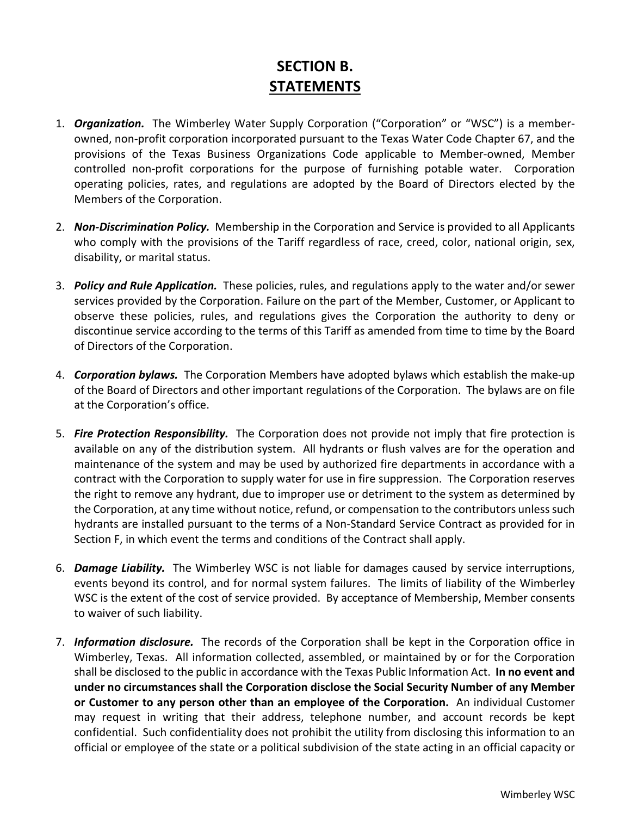## **SECTION B. STATEMENTS**

- 1. *Organization.* The Wimberley Water Supply Corporation ("Corporation" or "WSC") is a memberowned, non-profit corporation incorporated pursuant to the Texas Water Code Chapter 67, and the provisions of the Texas Business Organizations Code applicable to Member-owned, Member controlled non-profit corporations for the purpose of furnishing potable water. Corporation operating policies, rates, and regulations are adopted by the Board of Directors elected by the Members of the Corporation.
- 2. *Non-Discrimination Policy.* Membership in the Corporation and Service is provided to all Applicants who comply with the provisions of the Tariff regardless of race, creed, color, national origin, sex, disability, or marital status.
- 3. *Policy and Rule Application.* These policies, rules, and regulations apply to the water and/or sewer services provided by the Corporation. Failure on the part of the Member, Customer, or Applicant to observe these policies, rules, and regulations gives the Corporation the authority to deny or discontinue service according to the terms of this Tariff as amended from time to time by the Board of Directors of the Corporation.
- 4. *Corporation bylaws.* The Corporation Members have adopted bylaws which establish the make-up of the Board of Directors and other important regulations of the Corporation. The bylaws are on file at the Corporation's office.
- 5. *Fire Protection Responsibility.* The Corporation does not provide not imply that fire protection is available on any of the distribution system. All hydrants or flush valves are for the operation and maintenance of the system and may be used by authorized fire departments in accordance with a contract with the Corporation to supply water for use in fire suppression. The Corporation reserves the right to remove any hydrant, due to improper use or detriment to the system as determined by the Corporation, at any time without notice, refund, or compensation to the contributors unless such hydrants are installed pursuant to the terms of a Non-Standard Service Contract as provided for in Section F, in which event the terms and conditions of the Contract shall apply.
- 6. *Damage Liability.* The Wimberley WSC is not liable for damages caused by service interruptions, events beyond its control, and for normal system failures. The limits of liability of the Wimberley WSC is the extent of the cost of service provided. By acceptance of Membership, Member consents to waiver of such liability.
- 7. *Information disclosure.* The records of the Corporation shall be kept in the Corporation office in Wimberley, Texas. All information collected, assembled, or maintained by or for the Corporation shall be disclosed to the public in accordance with the Texas Public Information Act. **In no event and under no circumstances shall the Corporation disclose the Social Security Number of any Member or Customer to any person other than an employee of the Corporation.** An individual Customer may request in writing that their address, telephone number, and account records be kept confidential. Such confidentiality does not prohibit the utility from disclosing this information to an official or employee of the state or a political subdivision of the state acting in an official capacity or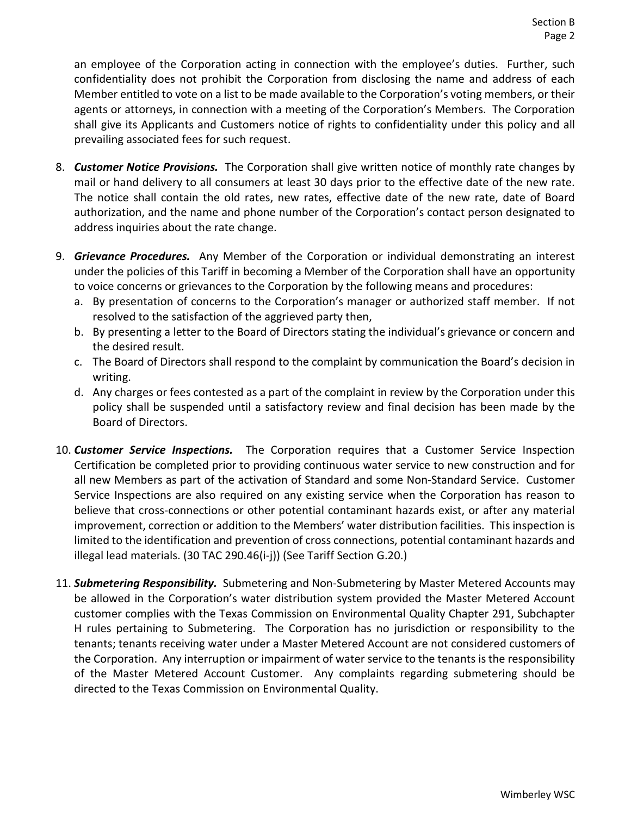an employee of the Corporation acting in connection with the employee's duties. Further, such confidentiality does not prohibit the Corporation from disclosing the name and address of each Member entitled to vote on a list to be made available to the Corporation's voting members, or their agents or attorneys, in connection with a meeting of the Corporation's Members. The Corporation shall give its Applicants and Customers notice of rights to confidentiality under this policy and all prevailing associated fees for such request.

- 8. *Customer Notice Provisions.* The Corporation shall give written notice of monthly rate changes by mail or hand delivery to all consumers at least 30 days prior to the effective date of the new rate. The notice shall contain the old rates, new rates, effective date of the new rate, date of Board authorization, and the name and phone number of the Corporation's contact person designated to address inquiries about the rate change.
- 9. *Grievance Procedures.* Any Member of the Corporation or individual demonstrating an interest under the policies of this Tariff in becoming a Member of the Corporation shall have an opportunity to voice concerns or grievances to the Corporation by the following means and procedures:
	- a. By presentation of concerns to the Corporation's manager or authorized staff member. If not resolved to the satisfaction of the aggrieved party then,
	- b. By presenting a letter to the Board of Directors stating the individual's grievance or concern and the desired result.
	- c. The Board of Directors shall respond to the complaint by communication the Board's decision in writing.
	- d. Any charges or fees contested as a part of the complaint in review by the Corporation under this policy shall be suspended until a satisfactory review and final decision has been made by the Board of Directors.
- 10. *Customer Service Inspections.* The Corporation requires that a Customer Service Inspection Certification be completed prior to providing continuous water service to new construction and for all new Members as part of the activation of Standard and some Non-Standard Service. Customer Service Inspections are also required on any existing service when the Corporation has reason to believe that cross-connections or other potential contaminant hazards exist, or after any material improvement, correction or addition to the Members' water distribution facilities. This inspection is limited to the identification and prevention of cross connections, potential contaminant hazards and illegal lead materials. (30 TAC 290.46(i-j)) (See Tariff Section G.20.)
- 11. *Submetering Responsibility.* Submetering and Non-Submetering by Master Metered Accounts may be allowed in the Corporation's water distribution system provided the Master Metered Account customer complies with the Texas Commission on Environmental Quality Chapter 291, Subchapter H rules pertaining to Submetering. The Corporation has no jurisdiction or responsibility to the tenants; tenants receiving water under a Master Metered Account are not considered customers of the Corporation. Any interruption or impairment of water service to the tenants is the responsibility of the Master Metered Account Customer. Any complaints regarding submetering should be directed to the Texas Commission on Environmental Quality.